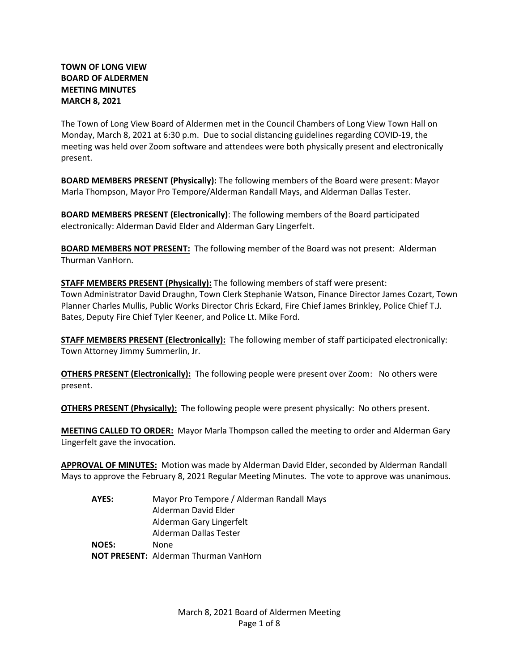# **TOWN OF LONG VIEW BOARD OF ALDERMEN MEETING MINUTES MARCH 8, 2021**

The Town of Long View Board of Aldermen met in the Council Chambers of Long View Town Hall on Monday, March 8, 2021 at 6:30 p.m. Due to social distancing guidelines regarding COVID-19, the meeting was held over Zoom software and attendees were both physically present and electronically present.

**BOARD MEMBERS PRESENT (Physically):** The following members of the Board were present: Mayor Marla Thompson, Mayor Pro Tempore/Alderman Randall Mays, and Alderman Dallas Tester.

**BOARD MEMBERS PRESENT (Electronically)**: The following members of the Board participated electronically: Alderman David Elder and Alderman Gary Lingerfelt.

**BOARD MEMBERS NOT PRESENT:** The following member of the Board was not present: Alderman Thurman VanHorn.

**STAFF MEMBERS PRESENT (Physically):** The following members of staff were present: Town Administrator David Draughn, Town Clerk Stephanie Watson, Finance Director James Cozart, Town Planner Charles Mullis, Public Works Director Chris Eckard, Fire Chief James Brinkley, Police Chief T.J. Bates, Deputy Fire Chief Tyler Keener, and Police Lt. Mike Ford.

**STAFF MEMBERS PRESENT (Electronically):** The following member of staff participated electronically: Town Attorney Jimmy Summerlin, Jr.

**OTHERS PRESENT (Electronically):** The following people were present over Zoom: No others were present.

**OTHERS PRESENT (Physically):** The following people were present physically: No others present.

**MEETING CALLED TO ORDER:** Mayor Marla Thompson called the meeting to order and Alderman Gary Lingerfelt gave the invocation.

**APPROVAL OF MINUTES:** Motion was made by Alderman David Elder, seconded by Alderman Randall Mays to approve the February 8, 2021 Regular Meeting Minutes. The vote to approve was unanimous.

**AYES:** Mayor Pro Tempore / Alderman Randall Mays Alderman David Elder Alderman Gary Lingerfelt Alderman Dallas Tester **NOES:** None **NOT PRESENT:** Alderman Thurman VanHorn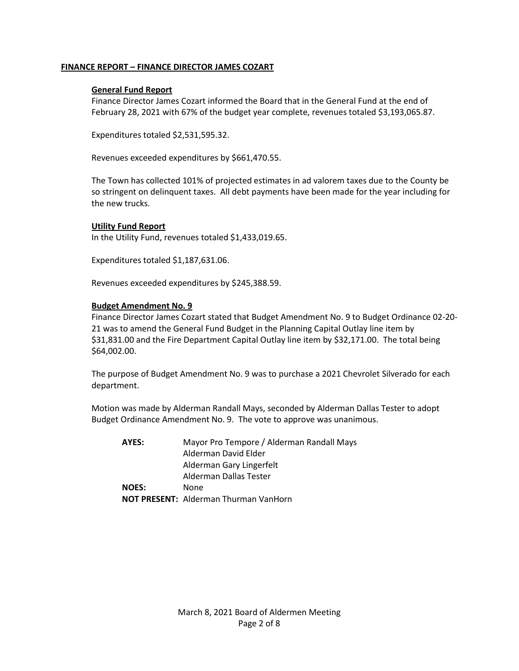# **FINANCE REPORT – FINANCE DIRECTOR JAMES COZART**

#### **General Fund Report**

Finance Director James Cozart informed the Board that in the General Fund at the end of February 28, 2021 with 67% of the budget year complete, revenues totaled \$3,193,065.87.

Expenditures totaled \$2,531,595.32.

Revenues exceeded expenditures by \$661,470.55.

The Town has collected 101% of projected estimates in ad valorem taxes due to the County be so stringent on delinquent taxes. All debt payments have been made for the year including for the new trucks.

### **Utility Fund Report**

In the Utility Fund, revenues totaled \$1,433,019.65.

Expenditures totaled \$1,187,631.06.

Revenues exceeded expenditures by \$245,388.59.

### **Budget Amendment No. 9**

Finance Director James Cozart stated that Budget Amendment No. 9 to Budget Ordinance 02-20- 21 was to amend the General Fund Budget in the Planning Capital Outlay line item by \$31,831.00 and the Fire Department Capital Outlay line item by \$32,171.00. The total being \$64,002.00.

The purpose of Budget Amendment No. 9 was to purchase a 2021 Chevrolet Silverado for each department.

Motion was made by Alderman Randall Mays, seconded by Alderman Dallas Tester to adopt Budget Ordinance Amendment No. 9. The vote to approve was unanimous.

| AYES:        | Mayor Pro Tempore / Alderman Randall Mays    |
|--------------|----------------------------------------------|
|              | Alderman David Elder                         |
|              | Alderman Gary Lingerfelt                     |
|              | Alderman Dallas Tester                       |
| <b>NOES:</b> | None.                                        |
|              | <b>NOT PRESENT: Alderman Thurman VanHorn</b> |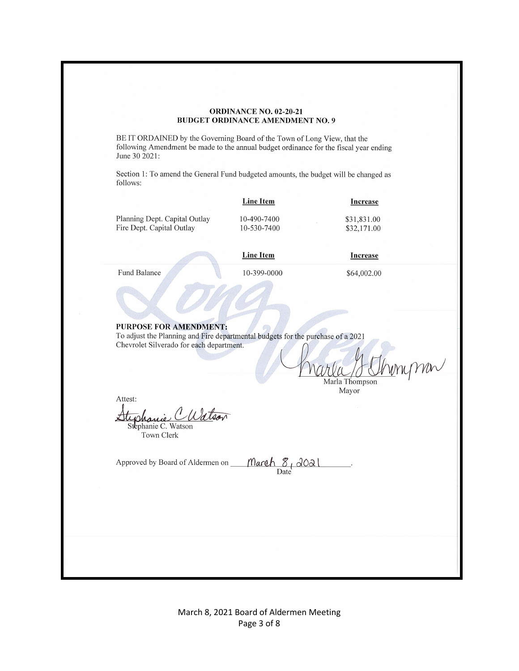#### ORDINANCE NO. 02-20-21 **BUDGET ORDINANCE AMENDMENT NO. 9**

BE IT ORDAINED by the Governing Board of the Town of Long View, that the following Amendment be made to the annual budget ordinance for the fiscal year ending June 30 2021:

Section 1: To amend the General Fund budgeted amounts, the budget will be changed as follows:

|                               | <b>Line Item</b> | Increase    |
|-------------------------------|------------------|-------------|
| Planning Dept. Capital Outlay | 10-490-7400      | \$31,831.00 |
| Fire Dept. Capital Outlay     | 10-530-7400      | \$32,171.00 |

| <b>Line Item</b> |  |
|------------------|--|
|                  |  |
|                  |  |

10-399-0000

Fund Balance

\$64,002.00

**Increase** 

#### PURPOSE FOR AMENDMENT:

To adjust the Planning and Fire departmental budgets for the purchase of a 2021 Chevrolet Silverado for each department.

man Marla Thompsor

Mayor

Attest:

dlan Stephanie C. Watson

Town Clerk

Approved by Board of Aldermen on

March 8, 2021

March 8, 2021 Board of Aldermen Meeting Page 3 of 8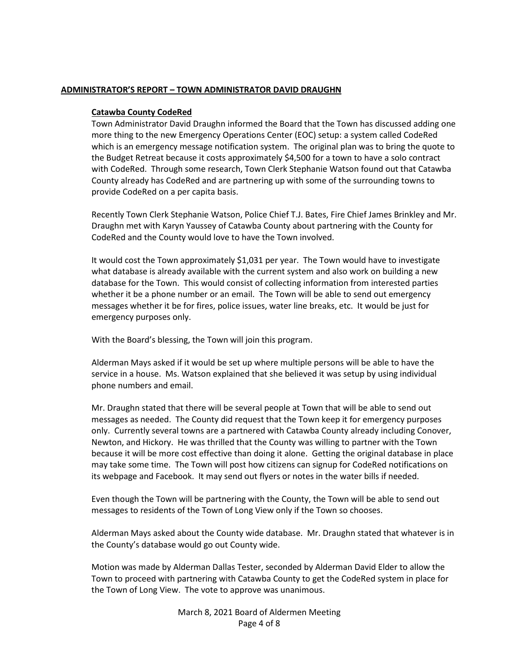### **ADMINISTRATOR'S REPORT – TOWN ADMINISTRATOR DAVID DRAUGHN**

#### **Catawba County CodeRed**

Town Administrator David Draughn informed the Board that the Town has discussed adding one more thing to the new Emergency Operations Center (EOC) setup: a system called CodeRed which is an emergency message notification system. The original plan was to bring the quote to the Budget Retreat because it costs approximately \$4,500 for a town to have a solo contract with CodeRed. Through some research, Town Clerk Stephanie Watson found out that Catawba County already has CodeRed and are partnering up with some of the surrounding towns to provide CodeRed on a per capita basis.

Recently Town Clerk Stephanie Watson, Police Chief T.J. Bates, Fire Chief James Brinkley and Mr. Draughn met with Karyn Yaussey of Catawba County about partnering with the County for CodeRed and the County would love to have the Town involved.

It would cost the Town approximately \$1,031 per year. The Town would have to investigate what database is already available with the current system and also work on building a new database for the Town. This would consist of collecting information from interested parties whether it be a phone number or an email. The Town will be able to send out emergency messages whether it be for fires, police issues, water line breaks, etc. It would be just for emergency purposes only.

With the Board's blessing, the Town will join this program.

Alderman Mays asked if it would be set up where multiple persons will be able to have the service in a house. Ms. Watson explained that she believed it was setup by using individual phone numbers and email.

Mr. Draughn stated that there will be several people at Town that will be able to send out messages as needed. The County did request that the Town keep it for emergency purposes only. Currently several towns are a partnered with Catawba County already including Conover, Newton, and Hickory. He was thrilled that the County was willing to partner with the Town because it will be more cost effective than doing it alone. Getting the original database in place may take some time. The Town will post how citizens can signup for CodeRed notifications on its webpage and Facebook. It may send out flyers or notes in the water bills if needed.

Even though the Town will be partnering with the County, the Town will be able to send out messages to residents of the Town of Long View only if the Town so chooses.

Alderman Mays asked about the County wide database. Mr. Draughn stated that whatever is in the County's database would go out County wide.

Motion was made by Alderman Dallas Tester, seconded by Alderman David Elder to allow the Town to proceed with partnering with Catawba County to get the CodeRed system in place for the Town of Long View. The vote to approve was unanimous.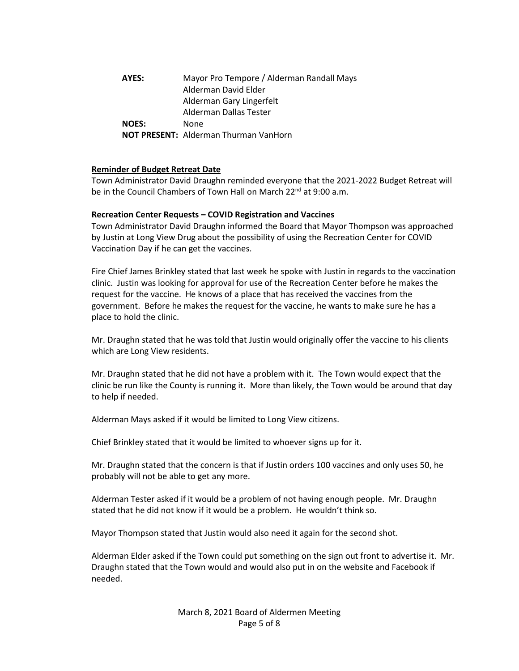**AYES:** Mayor Pro Tempore / Alderman Randall Mays Alderman David Elder Alderman Gary Lingerfelt Alderman Dallas Tester **NOES:** None **NOT PRESENT:** Alderman Thurman VanHorn

### **Reminder of Budget Retreat Date**

Town Administrator David Draughn reminded everyone that the 2021-2022 Budget Retreat will be in the Council Chambers of Town Hall on March 22<sup>nd</sup> at 9:00 a.m.

#### **Recreation Center Requests – COVID Registration and Vaccines**

Town Administrator David Draughn informed the Board that Mayor Thompson was approached by Justin at Long View Drug about the possibility of using the Recreation Center for COVID Vaccination Day if he can get the vaccines.

Fire Chief James Brinkley stated that last week he spoke with Justin in regards to the vaccination clinic. Justin was looking for approval for use of the Recreation Center before he makes the request for the vaccine. He knows of a place that has received the vaccines from the government. Before he makes the request for the vaccine, he wants to make sure he has a place to hold the clinic.

Mr. Draughn stated that he was told that Justin would originally offer the vaccine to his clients which are Long View residents.

Mr. Draughn stated that he did not have a problem with it. The Town would expect that the clinic be run like the County is running it. More than likely, the Town would be around that day to help if needed.

Alderman Mays asked if it would be limited to Long View citizens.

Chief Brinkley stated that it would be limited to whoever signs up for it.

Mr. Draughn stated that the concern is that if Justin orders 100 vaccines and only uses 50, he probably will not be able to get any more.

Alderman Tester asked if it would be a problem of not having enough people. Mr. Draughn stated that he did not know if it would be a problem. He wouldn't think so.

Mayor Thompson stated that Justin would also need it again for the second shot.

Alderman Elder asked if the Town could put something on the sign out front to advertise it. Mr. Draughn stated that the Town would and would also put in on the website and Facebook if needed.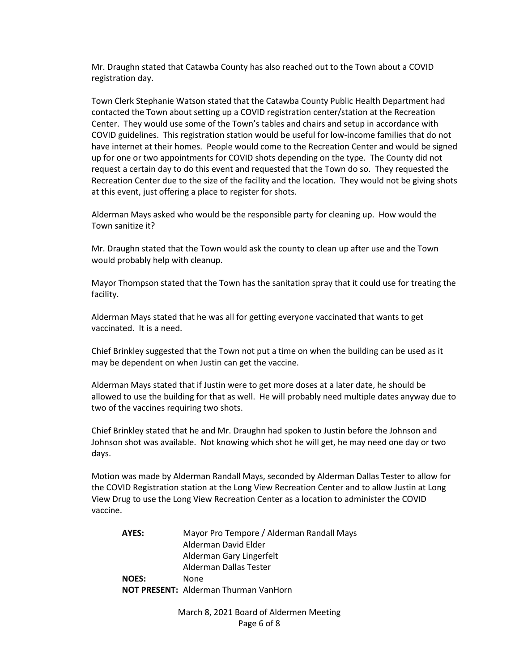Mr. Draughn stated that Catawba County has also reached out to the Town about a COVID registration day.

Town Clerk Stephanie Watson stated that the Catawba County Public Health Department had contacted the Town about setting up a COVID registration center/station at the Recreation Center. They would use some of the Town's tables and chairs and setup in accordance with COVID guidelines. This registration station would be useful for low-income families that do not have internet at their homes. People would come to the Recreation Center and would be signed up for one or two appointments for COVID shots depending on the type. The County did not request a certain day to do this event and requested that the Town do so. They requested the Recreation Center due to the size of the facility and the location. They would not be giving shots at this event, just offering a place to register for shots.

Alderman Mays asked who would be the responsible party for cleaning up. How would the Town sanitize it?

Mr. Draughn stated that the Town would ask the county to clean up after use and the Town would probably help with cleanup.

Mayor Thompson stated that the Town has the sanitation spray that it could use for treating the facility.

Alderman Mays stated that he was all for getting everyone vaccinated that wants to get vaccinated. It is a need.

Chief Brinkley suggested that the Town not put a time on when the building can be used as it may be dependent on when Justin can get the vaccine.

Alderman Mays stated that if Justin were to get more doses at a later date, he should be allowed to use the building for that as well. He will probably need multiple dates anyway due to two of the vaccines requiring two shots.

Chief Brinkley stated that he and Mr. Draughn had spoken to Justin before the Johnson and Johnson shot was available. Not knowing which shot he will get, he may need one day or two days.

Motion was made by Alderman Randall Mays, seconded by Alderman Dallas Tester to allow for the COVID Registration station at the Long View Recreation Center and to allow Justin at Long View Drug to use the Long View Recreation Center as a location to administer the COVID vaccine.

**AYES:** Mayor Pro Tempore / Alderman Randall Mays Alderman David Elder Alderman Gary Lingerfelt Alderman Dallas Tester **NOES:** None **NOT PRESENT:** Alderman Thurman VanHorn

> March 8, 2021 Board of Aldermen Meeting Page 6 of 8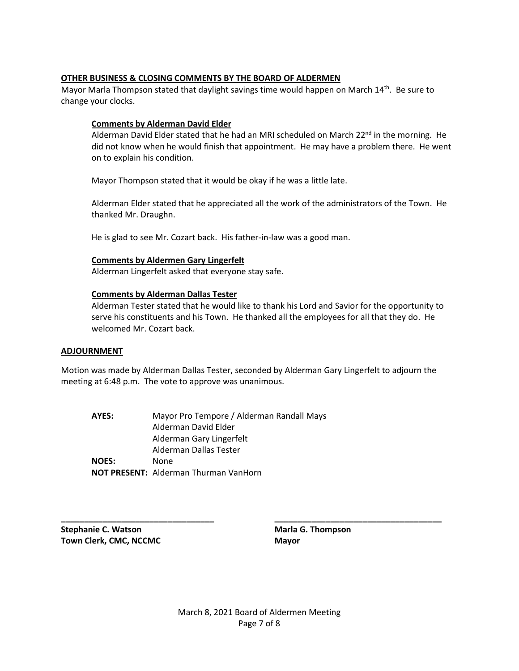# **OTHER BUSINESS & CLOSING COMMENTS BY THE BOARD OF ALDERMEN**

Mayor Marla Thompson stated that daylight savings time would happen on March 14<sup>th</sup>. Be sure to change your clocks.

# **Comments by Alderman David Elder**

Alderman David Elder stated that he had an MRI scheduled on March  $22^{nd}$  in the morning. He did not know when he would finish that appointment. He may have a problem there. He went on to explain his condition.

Mayor Thompson stated that it would be okay if he was a little late.

Alderman Elder stated that he appreciated all the work of the administrators of the Town. He thanked Mr. Draughn.

He is glad to see Mr. Cozart back. His father-in-law was a good man.

# **Comments by Aldermen Gary Lingerfelt**

Alderman Lingerfelt asked that everyone stay safe.

# **Comments by Alderman Dallas Tester**

Alderman Tester stated that he would like to thank his Lord and Savior for the opportunity to serve his constituents and his Town. He thanked all the employees for all that they do. He welcomed Mr. Cozart back.

# **ADJOURNMENT**

Motion was made by Alderman Dallas Tester, seconded by Alderman Gary Lingerfelt to adjourn the meeting at 6:48 p.m. The vote to approve was unanimous.

**AYES:** Mayor Pro Tempore / Alderman Randall Mays Alderman David Elder Alderman Gary Lingerfelt Alderman Dallas Tester **NOES:** None **NOT PRESENT:** Alderman Thurman VanHorn

**Stephanie C. Watson Maria G. Thompson Town Clerk, CMC, NCCMC Mayor Mayor** 

**\_\_\_\_\_\_\_\_\_\_\_\_\_\_\_\_\_\_\_\_\_\_\_\_\_\_\_\_\_\_\_\_\_ \_\_\_\_\_\_\_\_\_\_\_\_\_\_\_\_\_\_\_\_\_\_\_\_\_\_\_\_\_\_\_\_\_\_\_\_**